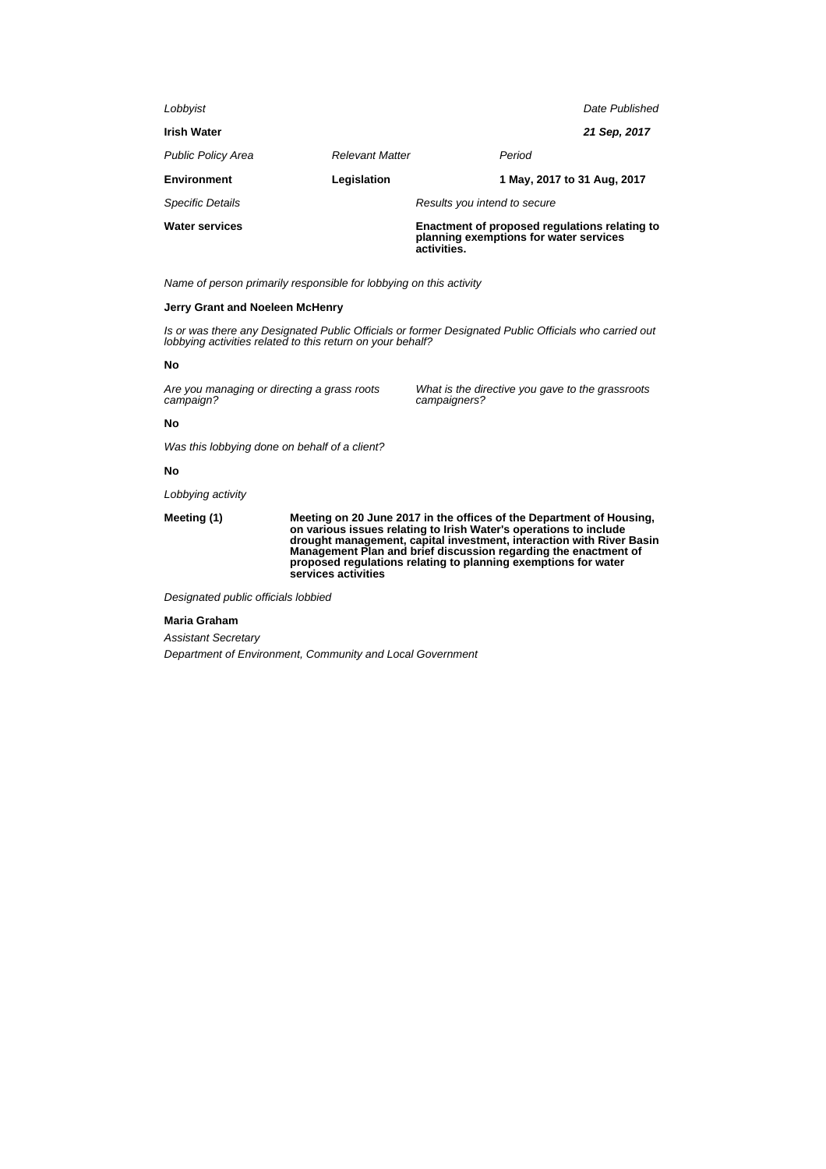| <b>Water services</b>     |                        | activities.                  | Enactment of proposed regulations relating to<br>planning exemptions for water services |                |
|---------------------------|------------------------|------------------------------|-----------------------------------------------------------------------------------------|----------------|
| <b>Specific Details</b>   |                        | Results you intend to secure |                                                                                         |                |
| <b>Environment</b>        | Legislation            |                              | 1 May, 2017 to 31 Aug, 2017                                                             |                |
| <b>Public Policy Area</b> | <b>Relevant Matter</b> |                              | Period                                                                                  |                |
| <b>Irish Water</b>        |                        |                              |                                                                                         | 21 Sep, 2017   |
| Lobbyist                  |                        |                              |                                                                                         | Date Published |
|                           |                        |                              |                                                                                         |                |

Name of person primarily responsible for lobbying on this activity

#### **Jerry Grant and Noeleen McHenry**

Is or was there any Designated Public Officials or former Designated Public Officials who carried out lobbying activities related to this return on your behalf?

#### **No**

Are you managing or directing a grass roots campaign?

What is the directive you gave to the grassroots campaigners?

#### **No**

Was this lobbying done on behalf of a client?

### **No**

Lobbying activity

**Meeting (1) Meeting on 20 June 2017 in the offices of the Department of Housing, on various issues relating to Irish Water's operations to include drought management, capital investment, interaction with River Basin Management Plan and brief discussion regarding the enactment of proposed regulations relating to planning exemptions for water services activities**

Designated public officials lobbied

## **Maria Graham**

Assistant Secretary Department of Environment, Community and Local Government